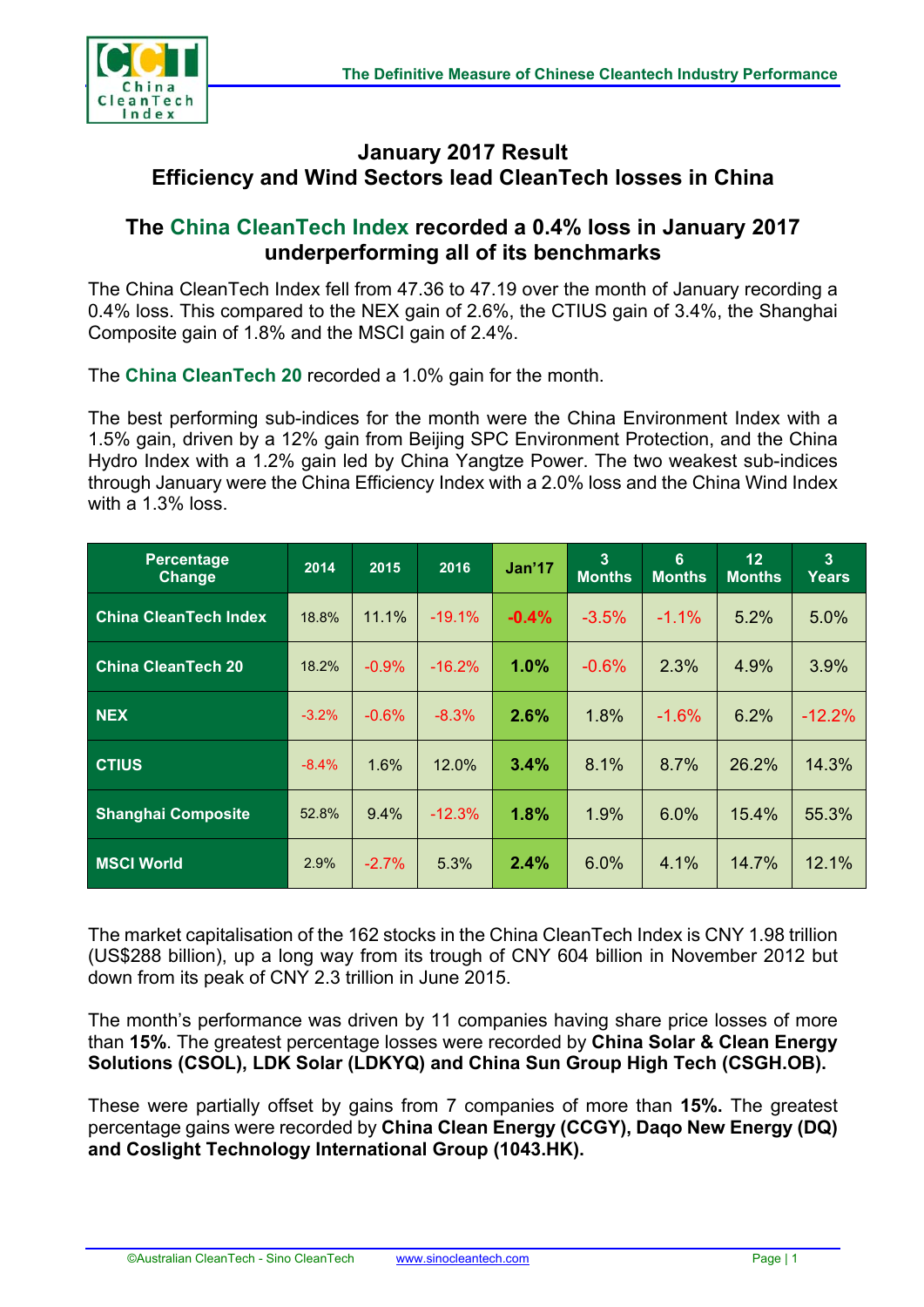

## **January 2017 Result Efficiency and Wind Sectors lead CleanTech losses in China**

## **The China CleanTech Index recorded a 0.4% loss in January 2017 underperforming all of its benchmarks**

The China CleanTech Index fell from 47.36 to 47.19 over the month of January recording a 0.4% loss. This compared to the NEX gain of 2.6%, the CTIUS gain of 3.4%, the Shanghai Composite gain of 1.8% and the MSCI gain of 2.4%.

The **China CleanTech 20** recorded a 1.0% gain for the month.

The best performing sub-indices for the month were the China Environment Index with a 1.5% gain, driven by a 12% gain from Beijing SPC Environment Protection, and the China Hydro Index with a 1.2% gain led by China Yangtze Power. The two weakest sub-indices through January were the China Efficiency Index with a 2.0% loss and the China Wind Index with a 1.3% loss.

| <b>Percentage</b><br><b>Change</b> | 2014    | 2015    | 2016      | Jan'17  | $\overline{3}$<br><b>Months</b> | 6<br><b>Months</b> | 12 <sub>2</sub><br><b>Months</b> | 3<br><b>Years</b> |
|------------------------------------|---------|---------|-----------|---------|---------------------------------|--------------------|----------------------------------|-------------------|
| <b>China CleanTech Index</b>       | 18.8%   | 11.1%   | $-19.1\%$ | $-0.4%$ | $-3.5%$                         | $-1.1\%$           | 5.2%                             | 5.0%              |
| <b>China CleanTech 20</b>          | 18.2%   | $-0.9%$ | $-16.2%$  | 1.0%    | $-0.6%$                         | 2.3%               | 4.9%                             | 3.9%              |
| <b>NEX</b>                         | $-3.2%$ | $-0.6%$ | $-8.3\%$  | 2.6%    | 1.8%                            | $-1.6%$            | 6.2%                             | $-12.2%$          |
| <b>CTIUS</b>                       | $-8.4%$ | 1.6%    | 12.0%     | 3.4%    | 8.1%                            | 8.7%               | 26.2%                            | 14.3%             |
| <b>Shanghai Composite</b>          | 52.8%   | 9.4%    | $-12.3%$  | 1.8%    | 1.9%                            | 6.0%               | 15.4%                            | 55.3%             |
| <b>MSCI World</b>                  | 2.9%    | $-2.7%$ | 5.3%      | 2.4%    | 6.0%                            | 4.1%               | 14.7%                            | 12.1%             |

The market capitalisation of the 162 stocks in the China CleanTech Index is CNY 1.98 trillion (US\$288 billion), up a long way from its trough of CNY 604 billion in November 2012 but down from its peak of CNY 2.3 trillion in June 2015.

The month's performance was driven by 11 companies having share price losses of more than **15%**. The greatest percentage losses were recorded by **China Solar & Clean Energy Solutions (CSOL), LDK Solar (LDKYQ) and China Sun Group High Tech (CSGH.OB).**

These were partially offset by gains from 7 companies of more than **15%.** The greatest percentage gains were recorded by **China Clean Energy (CCGY), Daqo New Energy (DQ) and Coslight Technology International Group (1043.HK).**